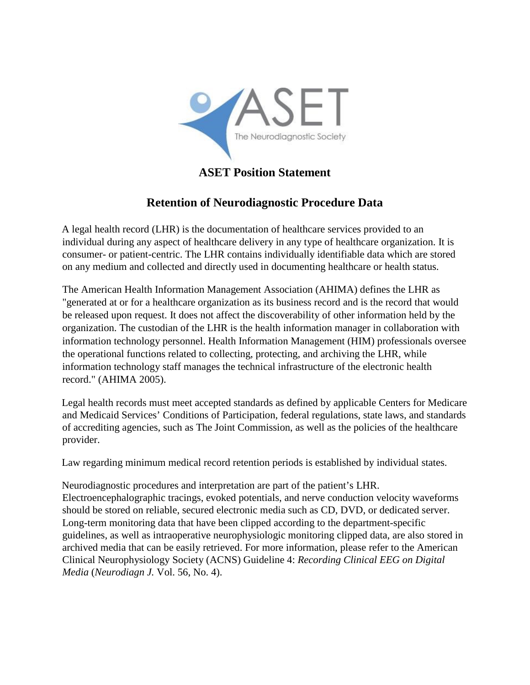

## **ASET Position Statement**

## **Retention of Neurodiagnostic Procedure Data**

A legal health record (LHR) is the documentation of healthcare services provided to an individual during any aspect of healthcare delivery in any type of healthcare organization. It is consumer- or patient-centric. The LHR contains individually identifiable data which are stored on any medium and collected and directly used in documenting healthcare or health status.

The American Health Information Management Association (AHIMA) defines the LHR as "generated at or for a healthcare organization as its business record and is the record that would be released upon request. It does not affect the discoverability of other information held by the organization. The custodian of the LHR is the health information manager in collaboration with information technology personnel. Health Information Management (HIM) professionals oversee the operational functions related to collecting, protecting, and archiving the LHR, while information technology staff manages the technical infrastructure of the electronic health record." (AHIMA 2005).

Legal health records must meet accepted standards as defined by applicable Centers for Medicare and Medicaid Services' Conditions of Participation, federal regulations, state laws, and standards of accrediting agencies, such as The Joint Commission, as well as the policies of the healthcare provider.

Law regarding minimum medical record retention periods is established by individual states.

Neurodiagnostic procedures and interpretation are part of the patient's LHR. Electroencephalographic tracings, evoked potentials, and nerve conduction velocity waveforms should be stored on reliable, secured electronic media such as CD, DVD, or dedicated server. Long-term monitoring data that have been clipped according to the department-specific guidelines, as well as intraoperative neurophysiologic monitoring clipped data, are also stored in archived media that can be easily retrieved. For more information, please refer to the American Clinical Neurophysiology Society (ACNS) Guideline 4: *Recording Clinical EEG on Digital Media* (*Neurodiagn J.* Vol. 56, No. 4).